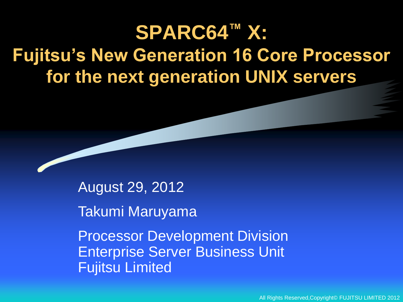## **SPARC64™ X: Fujitsu's New Generation 16 Core Processor for the next generation UNIX servers**

August 29, 2012

Takumi Maruyama

Processor Development Division Enterprise Server Business Unit Fujitsu Limited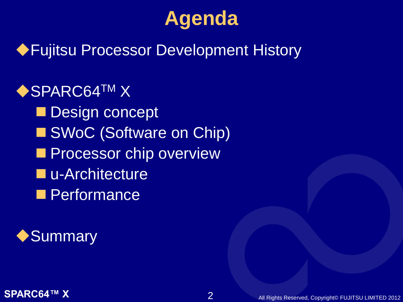## **Agenda**

## Fujitsu Processor Development History

◆SPARC64TM X Design concept ■ SWoC (Software on Chip) **Processor chip overview L**u-Architecture **Performance** 

◆ Summary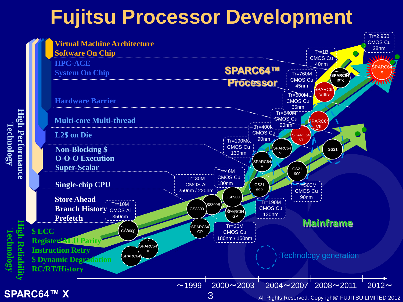## **Fujitsu Processor Development**

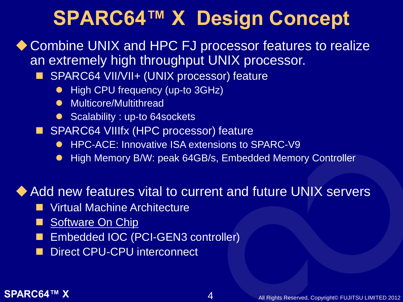## **SPARC64™ X Design Concept**

◆ Combine UNIX and HPC FJ processor features to realize an extremely high throughput UNIX processor.

- SPARC64 VII/VII+ (UNIX processor) feature
	- High CPU frequency (up-to 3GHz)
	- **•** Multicore/Multithread
	- Scalability : up-to 64sockets
- **SPARC64 VIIIfx (HPC processor) feature** 
	- HPC-ACE: Innovative ISA extensions to SPARC-V9
	- High Memory B/W: peak 64GB/s, Embedded Memory Controller

### Add new features vital to current and future UNIX servers

- **No. 7 Virtual Machine Architecture**
- Software On Chip
- Embedded IOC (PCI-GEN3 controller)
- Direct CPU-CPU interconnect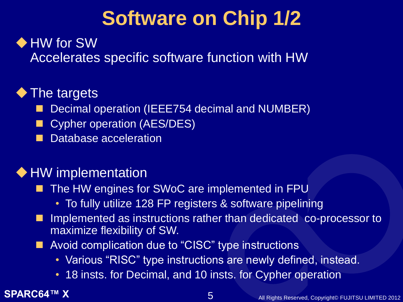# **Software on Chip 1/2**

### ◆ HW for SW

Accelerates specific software function with HW

### ◆ The targets

- Decimal operation (IEEE754 decimal and NUMBER)
- Cypher operation (AES/DES)
- Database acceleration

### ◆ HW implementation

- The HW engines for SWoC are implemented in FPU
	- To fully utilize 128 FP registers & software pipelining
- Implemented as instructions rather than dedicated co-processor to maximize flexibility of SW.
- **Avoid complication due to "CISC" type instructions** 
	- Various "RISC" type instructions are newly defined, instead.
	- 18 insts. for Decimal, and 10 insts. for Cypher operation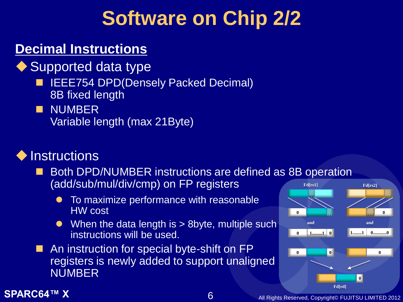## **Software on Chip 2/2**

### **Decimal Instructions**

- ◆ Supported data type
	- **IEEE754 DPD(Densely Packed Decimal)** 8B fixed length
	- **NUMBER** Variable length (max 21Byte)

### ◆ Instructions

- **Both DPD/NUMBER instructions are defined as 8B operation** (add/sub/mul/div/cmp) on FP registers
	- To maximize performance with reasonable HW cost
	- $\bullet$  When the data length is  $> 8$  byte, multiple such instructions will be used.
- An instruction for special byte-shift on FP registers is newly added to support unaligned NUMBER

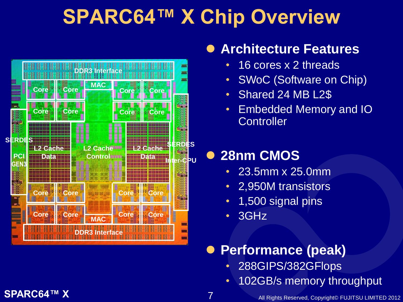## **SPARC64™ X Chip Overview**



### **Architecture Features**

- 16 cores x 2 threads
- SWoC (Software on Chip)
- Shared 24 MB L2\$
- Embedded Memory and IO **Controller**

## **28nm CMOS**

- 23.5mm x 25.0mm
- 2,950M transistors
- 1,500 signal pins
- 3GHz

### **Performance (peak)**

- 288GIPS/382GFlops
- 102GB/s memory throughput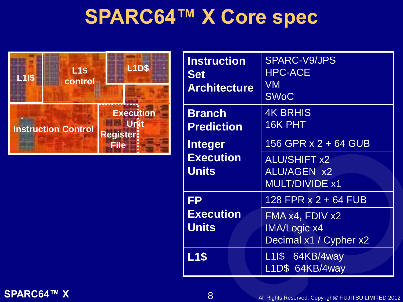## **SPARC64™ X Core spec**



| <b>Instruction</b><br><b>Set</b><br><b>Architecture</b> | <b>SPARC-V9/JPS</b><br><b>HPC-ACE</b><br>VM<br><b>SWoC</b>                                 |  |
|---------------------------------------------------------|--------------------------------------------------------------------------------------------|--|
| <b>Branch</b><br><b>Prediction</b>                      | <b>4K BRHIS</b><br>16K PHT                                                                 |  |
| <b>Integer</b><br><b>Execution</b><br><b>Units</b>      | 156 GPR x 2 + 64 GUB<br><b>ALU/SHIFT x2</b><br><b>ALU/AGEN x2</b><br><b>MULT/DIVIDE x1</b> |  |
| <b>FP</b><br><b>Execution</b><br><b>Units</b>           | 128 FPR x 2 + 64 FUB<br>FMA x4, FDIV x2<br><b>IMA/Logic x4</b><br>Decimal x1 / Cypher x2   |  |
| <b>L1\$</b>                                             | L1I\$ 64KB/4way<br>L1D\$ 64KB/4way                                                         |  |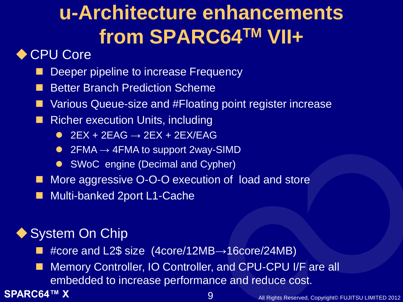# **u-Architecture enhancements from SPARC64TM VII+**

### ◆ CPU Core

- Deeper pipeline to increase Frequency
- Better Branch Prediction Scheme
- Various Queue-size and #Floating point register increase
- **Richer execution Units, including** 
	- $\bullet$  2EX + 2EAG  $\rightarrow$  2EX + 2EX/EAG
	- 2FMA  $\rightarrow$  4FMA to support 2way-SIMD
	- SWoC engine (Decimal and Cypher)
- More aggressive O-O-O execution of load and store
- Multi-banked 2port L1-Cache

### ◆ System On Chip

- #core and L2\$ size (4core/12MB→16core/24MB)
- Memory Controller, IO Controller, and CPU-CPU I/F are all embedded to increase performance and reduce cost.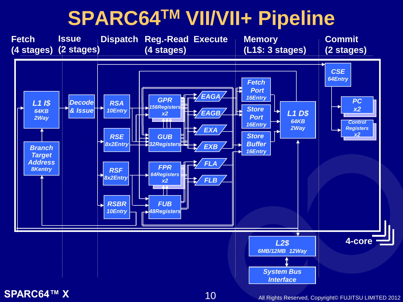## **SPARC64TM VII/VII+ Pipeline**

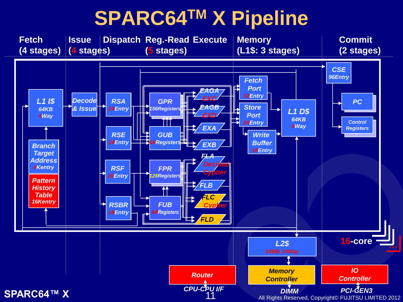## **SPARC64TM X Pipeline**

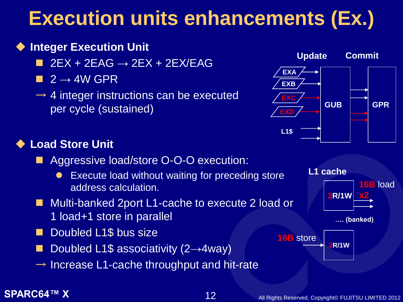### **SPARC64™ X** 12 All Rights Reserved, Copyright© FUJITSU LIMITED 2012

## **Execution units enhancements (Ex.)**

### ◆ Integer Execution Unit

- $\blacksquare$  2EX + 2EAG  $\rightarrow$  2EX + 2EX/EAG
- $\blacksquare$  2  $\rightarrow$  4W GPR
- $\rightarrow$  4 integer instructions can be executed per cycle (sustained)

### ◆ Load Store Unit

- **Aggressive load/store O-O-O execution:** 
	- Execute load without waiting for preceding store address calculation.

### Multi-banked 2port L1-cache to execute 2 load or 1 load+1 store in parallel

- Doubled L1\$ bus size
- Doubled L1\$ associativity (2→4way)
- $\rightarrow$  Increase L1-cache throughput and hit-rate



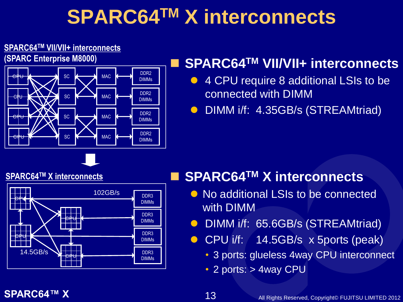# **SPARC64TM X interconnects**

### **SPARC64TM VII/VII+ interconnects**

**(SPARC Enterprise M8000)**



### **SPARC64TM VII/VII+ interconnects**

- 4 CPU require 8 additional LSIs to be connected with DIMM
- **O** DIMM i/f: 4.35GB/s (STREAMtriad)

### **SPARC64TM X interconnects**



### **SPARC64TM X interconnects**

- No additional LSIs to be connected with DIMM
- **O** DIMM i/f: 65.6GB/s (STREAMtriad)
- **CPU i/f: 14.5GB/s x 5ports (peak)** 
	- 3 ports: glueless 4way CPU interconnect
	- 2 ports: > 4way CPU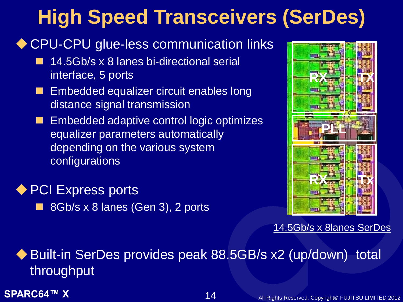# **High Speed Transceivers (SerDes)**

### ◆ CPU-CPU glue-less communication links

- 14.5Gb/s x 8 lanes bi-directional serial interface, 5 ports
- Embedded equalizer circuit enables long distance signal transmission
- Embedded adaptive control logic optimizes equalizer parameters automatically depending on the various system configurations

◆ PCI Express ports 8Gb/s x 8 lanes (Gen 3), 2 ports



14.5Gb/s x 8lanes SerDes

◆ Built-in SerDes provides peak 88.5GB/s x2 (up/down) total throughput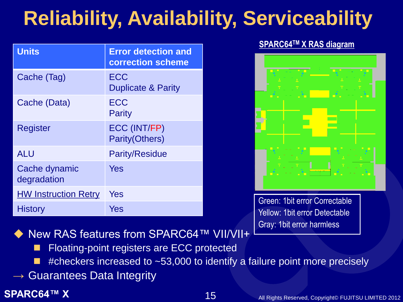# **Reliability, Availability, Serviceability**

| <b>Units</b>                 | <b>Error detection and</b><br><b>correction scheme</b> |
|------------------------------|--------------------------------------------------------|
| Cache (Tag)                  | <b>ECC</b><br><b>Duplicate &amp; Parity</b>            |
| Cache (Data)                 | <b>ECC</b><br>Parity                                   |
| Register                     | ECC (INT/FP)<br><b>Parity(Others)</b>                  |
| <b>ALU</b>                   | <b>Parity/Residue</b>                                  |
| Cache dynamic<br>degradation | Yes                                                    |
| <b>HW Instruction Retry</b>  | Yes                                                    |
| <b>History</b>               | Yes                                                    |

### **SPARC64TM X RAS diagram**



Green: 1bit error Correctable Yellow: 1bit error Detectable Gray: 1bit error harmless

New RAS features from SPARC64™ VII/VII+

- Floating-point registers are ECC protected
- #checkers increased to ~53,000 to identify a failure point more precisely
- $\rightarrow$  Guarantees Data Integrity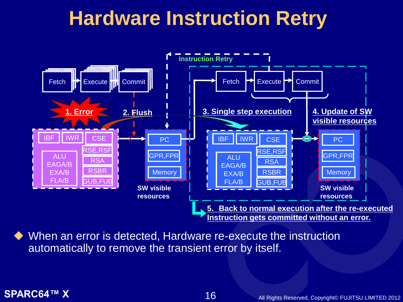## **Hardware Instruction Retry**



 When an error is detected, Hardware re-execute the instruction automatically to remove the transient error by itself.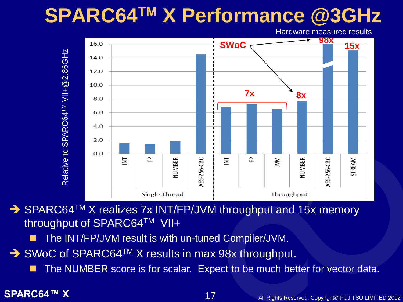## **SPARC64TM X Performance @3GHz**

Hardware measured results



→ SPARC64<sup>TM</sup> X realizes 7x INT/FP/JVM throughput and 15x memory throughput of SPARC64™ VII+

- The INT/FP/JVM result is with un-tuned Compiler/JVM.
- → SWoC of SPARC64<sup>TM</sup> X results in max 98x throughput.
	-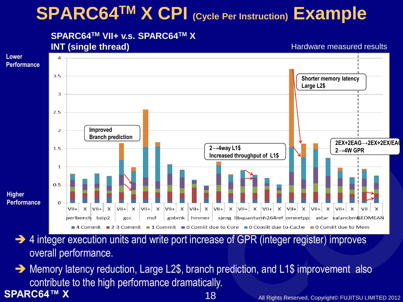## **SPARC64TM X CPI (Cycle Per Instruction) Example**

### **SPARC64TM VII+ v.s. SPARC64TM X INT (single thread)**

Hardware measured results



- → 4 integer execution units and write port increase of GPR (integer register) improves overall performance.
- **SPARC64™ X** All Rights Reserved, Copyright© FUJITSU LIMITED 2012 18  $\rightarrow$  Memory latency reduction, Large L2\$, branch prediction, and L1\$ improvement also contribute to the high performance dramatically.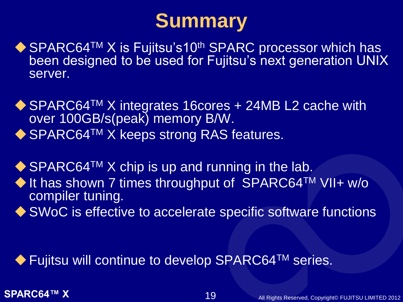## **Summary**

- ◆ SPARC64<sup>TM</sup> X is Fujitsu's10<sup>th</sup> SPARC processor which has been designed to be used for Fujitsu's next generation UNIX server.
- ◆ SPARC64<sup>TM</sup> X integrates 16cores + 24MB L2 cache with over 100GB/s(peak) memory B/W. ◆ SPARC64<sup>TM</sup> X keeps strong RAS features.
- $\blacklozenge$  SPARC64<sup>TM</sup> X chip is up and running in the lab.
- ◆ It has shown 7 times throughput of SPARC64TM VII+ w/o compiler tuning.
- ◆ SWoC is effective to accelerate specific software functions

◆ Fujitsu will continue to develop SPARC64<sup>TM</sup> series.